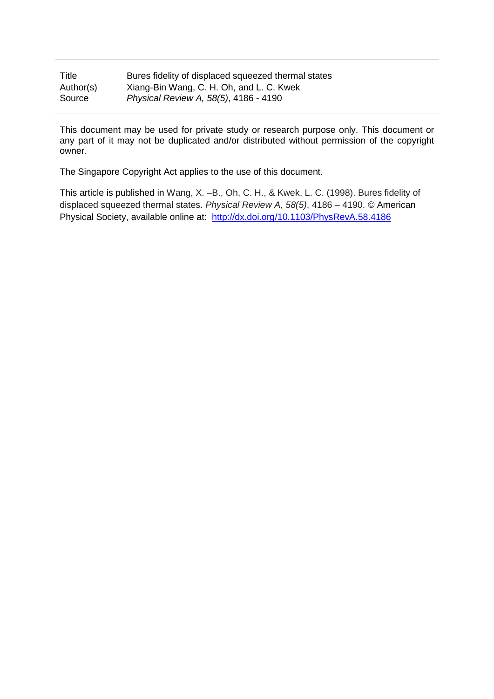| Title     | Bures fidelity of displaced squeezed thermal states |
|-----------|-----------------------------------------------------|
| Author(s) | Xiang-Bin Wang, C. H. Oh, and L. C. Kwek            |
| Source    | Physical Review A, 58(5), 4186 - 4190               |

This document may be used for private study or research purpose only. This document or any part of it may not be duplicated and/or distributed without permission of the copyright owner.

The Singapore Copyright Act applies to the use of this document.

This article is published in Wang, X. –B., Oh, C. H., & Kwek, L. C. (1998). Bures fidelity of displaced squeezed thermal states. *Physical Review A*, *58(5)*, 4186 – 4190. *©* American Physical Society, available online at: http://dx.doi.org/10.1103/PhysRevA.58.4186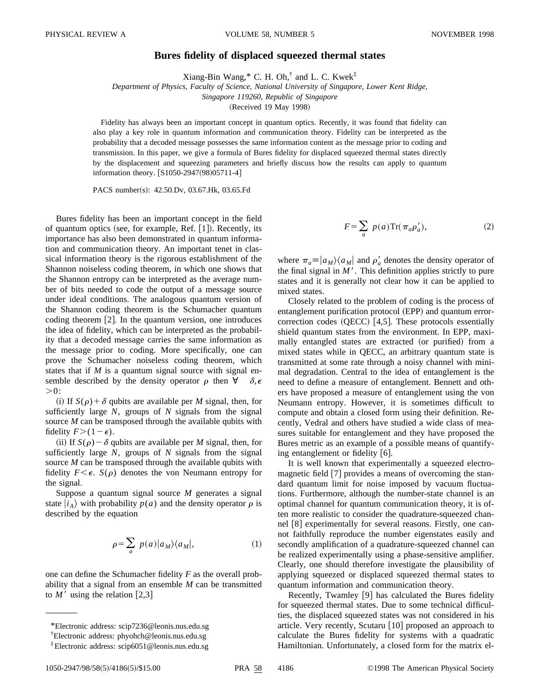## **Bures fidelity of displaced squeezed thermal states**

Xiang-Bin Wang,\* C. H. Oh, $^{\dagger}$  and L. C. Kwek $^{\dagger}$ 

*Department of Physics, Faculty of Science, National University of Singapore, Lower Kent Ridge, Singapore 119260, Republic of Singapore*

(Received 19 May 1998)

Fidelity has always been an important concept in quantum optics. Recently, it was found that fidelity can also play a key role in quantum information and communication theory. Fidelity can be interpreted as the probability that a decoded message possesses the same information content as the message prior to coding and transmission. In this paper, we give a formula of Bures fidelity for displaced squeezed thermal states directly by the displacement and squeezing parameters and briefly discuss how the results can apply to quantum information theory.  $[$1050-2947(98)05711-4]$ 

PACS number(s): 42.50.Dv, 03.67.Hk, 03.65.Fd

Bures fidelity has been an important concept in the field of quantum optics (see, for example, Ref.  $[1]$ ). Recently, its importance has also been demonstrated in quantum information and communication theory. An important tenet in classical information theory is the rigorous establishment of the Shannon noiseless coding theorem, in which one shows that the Shannon entropy can be interpreted as the average number of bits needed to code the output of a message source under ideal conditions. The analogous quantum version of the Shannon coding theorem is the Schumacher quantum coding theorem  $[2]$ . In the quantum version, one introduces the idea of fidelity, which can be interpreted as the probability that a decoded message carries the same information as the message prior to coding. More specifically, one can prove the Schumacher noiseless coding theorem, which states that if *M* is a quantum signal source with signal ensemble described by the density operator  $\rho$  then  $\forall \delta, \epsilon$  $>0$ :

(i) If  $S(\rho) + \delta$  qubits are available per *M* signal, then, for sufficiently large *N*, groups of *N* signals from the signal source *M* can be transposed through the available qubits with fidelity  $F>(1-\epsilon)$ .

(ii) If  $S(\rho) - \delta$  qubits are available per *M* signal, then, for sufficiently large *N*, groups of *N* signals from the signal source *M* can be transposed through the available qubits with fidelity  $F \leq \epsilon$ . *S*( $\rho$ ) denotes the von Neumann entropy for the signal.

Suppose a quantum signal source *M* generates a signal state  $|i_A\rangle$  with probability  $p(a)$  and the density operator  $\rho$  is described by the equation

$$
\rho = \sum_{a} p(a) |a_M\rangle\langle a_M|,\tag{1}
$$

one can define the Schumacher fidelity *F* as the overall probability that a signal from an ensemble *M* can be transmitted to  $M'$  using the relation [2,3]

$$
F = \sum_{a} p(a) \text{Tr}(\pi_a \rho'_a), \tag{2}
$$

where  $\pi_a \equiv |a_M\rangle\langle a_M|$  and  $\rho'_a$  denotes the density operator of the final signal in  $M'$ . This definition applies strictly to pure states and it is generally not clear how it can be applied to mixed states.

Closely related to the problem of coding is the process of entanglement purification protocol (EPP) and quantum errorcorrection codes  $(QECC)$  [4,5]. These protocols essentially shield quantum states from the environment. In EPP, maximally entangled states are extracted (or purified) from a mixed states while in QECC, an arbitrary quantum state is transmitted at some rate through a noisy channel with minimal degradation. Central to the idea of entanglement is the need to define a measure of entanglement. Bennett and others have proposed a measure of entanglement using the von Neumann entropy. However, it is sometimes difficult to compute and obtain a closed form using their definition. Recently, Vedral and others have studied a wide class of measures suitable for entanglement and they have proposed the Bures metric as an example of a possible means of quantifying entanglement or fidelity  $\lceil 6 \rceil$ .

It is well known that experimentally a squeezed electromagnetic field  $[7]$  provides a means of overcoming the standard quantum limit for noise imposed by vacuum fluctuations. Furthermore, although the number-state channel is an optimal channel for quantum communication theory, it is often more realistic to consider the quadrature-squeezed channel [8] experimentally for several reasons. Firstly, one cannot faithfully reproduce the number eigenstates easily and secondly amplification of a quadrature-squeezed channel can be realized experimentally using a phase-sensitive amplifier. Clearly, one should therefore investigate the plausibility of applying squeezed or displaced squeezed thermal states to quantum information and communication theory.

Recently, Twamley  $[9]$  has calculated the Bures fidelity for squeezed thermal states. Due to some technical difficulties, the displaced squeezed states was not considered in his article. Very recently, Scutaru [10] proposed an approach to calculate the Bures fidelity for systems with a quadratic Hamiltonian. Unfortunately, a closed form for the matrix el-

<sup>\*</sup>Electronic address: scip7236@leonis.nus.edu.sg

<sup>†</sup> Electronic address: phyohch@leonis.nus.edu.sg

<sup>‡</sup>Electronic address: scip6051@leonis.nus.edu.sg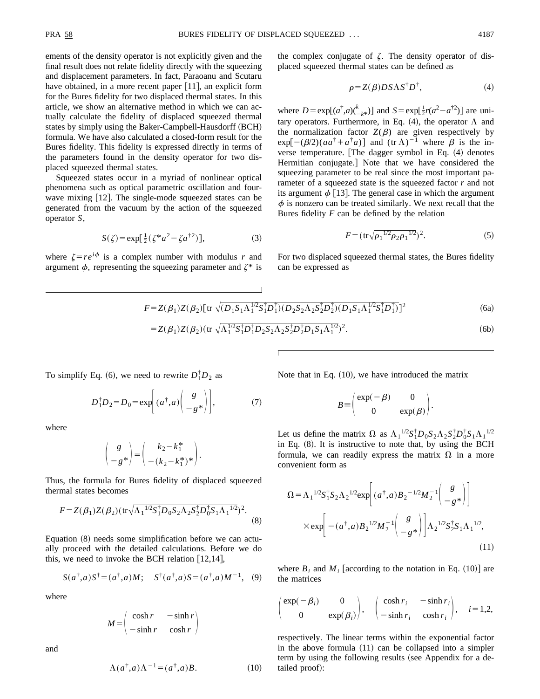ements of the density operator is not explicitly given and the final result does not relate fidelity directly with the squeezing and displacement parameters. In fact, Paraoanu and Scutaru have obtained, in a more recent paper  $[11]$ , an explicit form for the Bures fidelity for two displaced thermal states. In this article, we show an alternative method in which we can actually calculate the fidelity of displaced squeezed thermal states by simply using the Baker-Campbell-Hausdorff (BCH) formula. We have also calculated a closed-form result for the Bures fidelity. This fidelity is expressed directly in terms of the parameters found in the density operator for two displaced squeezed thermal states.

Squeezed states occur in a myriad of nonlinear optical phenomena such as optical parametric oscillation and fourwave mixing  $[12]$ . The single-mode squeezed states can be generated from the vacuum by the action of the squeezed operator *S*,

$$
S(\zeta) = \exp[\frac{1}{2}(\zeta^* a^2 - \zeta a^{\dagger 2})],
$$
 (3)

where  $\zeta = re^{i\phi}$  is a complex number with modulus *r* and argument  $\phi$ , representing the squeezing parameter and  $\zeta^*$  is the complex conjugate of  $\zeta$ . The density operator of displaced squeezed thermal states can be defined as

$$
\rho = Z(\beta) D S \Lambda S^{\dagger} D^{\dagger}, \qquad (4)
$$

where  $D = \exp[(a^{\dagger}, a)(\frac{k}{-k})]$  and  $S = \exp[\frac{1}{2}r(a^2 - a^{\dagger 2})]$  are unitary operators. Furthermore, in Eq. (4), the operator  $\Lambda$  and the normalization factor  $Z(\beta)$  are given respectively by  $\exp[-(\beta/2)(aa^{\dagger}+a^{\dagger}a)]$  and  $(\text{tr }\Lambda)^{-1}$  where  $\beta$  is the inverse temperature. [The dagger symbol in Eq. (4) denotes Hermitian conjugate. Note that we have considered the squeezing parameter to be real since the most important parameter of a squeezed state is the squeezed factor *r* and not its argument  $\phi$  [13]. The general case in which the argument  $\phi$  is nonzero can be treated similarly. We next recall that the Bures fidelity *F* can be defined by the relation

$$
F = (\text{tr}\sqrt{\rho_1^{1/2}\rho_2\rho_1^{1/2}})^2. \tag{5}
$$

For two displaced squeezed thermal states, the Bures fidelity can be expressed as

$$
F = Z(\beta_1)Z(\beta_2)[\text{tr }\sqrt{(D_1S_1\Lambda_1^{1/2}S_1^{\dagger}D_1^{\dagger})(D_2S_2\Lambda_2S_2^{\dagger}D_2^{\dagger})(D_1S_1\Lambda_1^{1/2}S_1^{\dagger}D_1^{\dagger})}]^2
$$
(6a)

$$
=Z(\beta_1)Z(\beta_2)(\text{tr }\sqrt{\Lambda_1^{1/2}S_1^{\dagger}D_1^{\dagger}D_2S_2\Lambda_2S_2^{\dagger}D_2^{\dagger}D_1S_1\Lambda_1^{1/2}})^2.
$$
 (6b)

To simplify Eq. (6), we need to rewrite  $D_1^{\dagger}D_2$  as

$$
D_1^{\dagger} D_2 = D_0 = \exp\left[ (a^{\dagger}, a) \begin{pmatrix} g \\ -g^* \end{pmatrix} \right],
$$
 (7)

where

$$
\begin{pmatrix} g \\ -g^* \end{pmatrix} = \begin{pmatrix} k_2 - k_1^* \\ -(k_2 - k_1^*)^* \end{pmatrix}.
$$

Thus, the formula for Bures fidelity of displaced squeezed thermal states becomes

$$
F = Z(\beta_1)Z(\beta_2)(\text{tr}\sqrt{\Lambda_1^{1/2}S_1^{\dagger}D_0S_2\Lambda_2S_2^{\dagger}D_0^{\dagger}S_1\Lambda_1^{1/2}})^2.
$$
 (8)

Equation  $(8)$  needs some simplification before we can actually proceed with the detailed calculations. Before we do this, we need to invoke the BCH relation  $[12,14]$ ,

$$
S(a^{\dagger}, a)S^{\dagger} = (a^{\dagger}, a)M; \quad S^{\dagger}(a^{\dagger}, a)S = (a^{\dagger}, a)M^{-1}, \quad (9)
$$

where

$$
M = \begin{pmatrix} \cosh r & -\sinh r \\ -\sinh r & \cosh r \end{pmatrix}
$$

and

$$
\Lambda(a^{\dagger}, a)\Lambda^{-1} = (a^{\dagger}, a)B. \tag{10}
$$

Note that in Eq.  $(10)$ , we have introduced the matrix

$$
B = \begin{pmatrix} \exp(-\beta) & 0 \\ 0 & \exp(\beta) \end{pmatrix}.
$$

Let us define the matrix  $\Omega$  as  $\Lambda_1^{1/2} S_1^{\dagger} D_0 S_2 \Lambda_2 S_2^{\dagger} D_0^{\dagger} S_1 \Lambda_1^{1/2}$ in Eq.  $(8)$ . It is instructive to note that, by using the BCH formula, we can readily express the matrix  $\Omega$  in a more convenient form as

$$
\Omega = \Lambda_1{}^{1/2} S_1^{\dagger} S_2 \Lambda_2{}^{1/2} \exp\left[ (a^{\dagger}, a) B_2{}^{-1/2} M_2{}^{-1} \left( \begin{array}{c} g \\ -g^* \end{array} \right) \right]
$$
  
×  $\exp\left[ -(a^{\dagger}, a) B_2{}^{1/2} M_2{}^{-1} \left( \begin{array}{c} g \\ -g^* \end{array} \right) \right] \Lambda_2{}^{1/2} S_2^{\dagger} S_1 \Lambda_1{}^{1/2},$  (11)

where  $B_i$  and  $M_i$  [according to the notation in Eq. (10)] are the matrices

$$
\begin{pmatrix} \exp(-\beta_i) & 0 \\ 0 & \exp(\beta_i) \end{pmatrix}, \quad \begin{pmatrix} \cosh r_i & -\sinh r_i \\ -\sinh r_i & \cosh r_i \end{pmatrix}, \quad i=1,2,
$$

respectively. The linear terms within the exponential factor in the above formula  $(11)$  can be collapsed into a simpler term by using the following results (see Appendix for a detailed proof):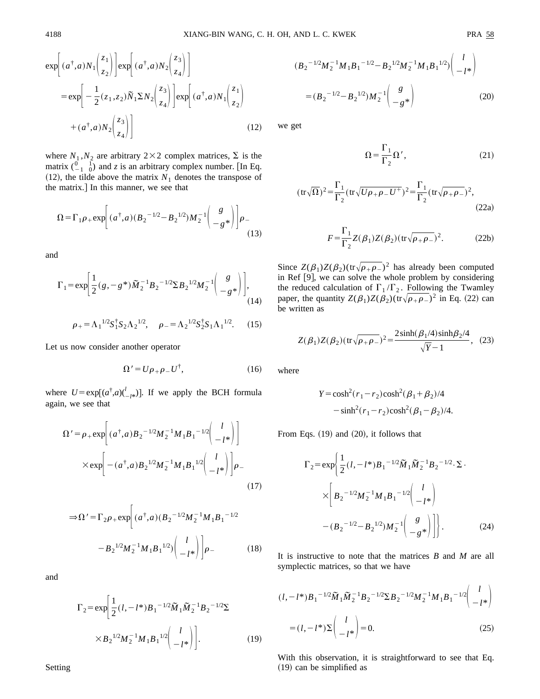$$
\exp\left[(a^{\dagger}, a)N_1\begin{pmatrix}z_1\\z_2\end{pmatrix}\right] \exp\left[(a^{\dagger}, a)N_2\begin{pmatrix}z_3\\z_4\end{pmatrix}\right]
$$
  
=  $\exp\left[-\frac{1}{2}(z_1, z_2)\tilde{N}_1 \Sigma N_2\begin{pmatrix}z_3\\z_4\end{pmatrix}\right] \exp\left[(a^{\dagger}, a)N_1\begin{pmatrix}z_1\\z_2\end{pmatrix} + (a^{\dagger}, a)N_2\begin{pmatrix}z_3\\z_4\end{pmatrix}\right]$  (12)

where  $N_1, N_2$  are arbitrary 2×2 complex matrices,  $\Sigma$  is the matrix  $\begin{pmatrix} 0 & 1 \\ -1 & 0 \end{pmatrix}$  and *z* is an arbitrary complex number. [In Eq.  $(12)$ , the tilde above the matrix  $N_1$  denotes the transpose of the matrix.] In this manner, we see that

$$
\Omega = \Gamma_1 \rho_+ \exp\left[ (a^{\dagger}, a) (B_2^{-1/2} - B_2^{-1/2}) M_2^{-1} \begin{pmatrix} g \\ -g^* \end{pmatrix} \right] \rho_-
$$
\n(13)

and

$$
\Gamma_1 = \exp\left[\frac{1}{2}(g, -g^*)\tilde{M}_2^{-1}B_2^{-1/2}\Sigma B_2^{-1/2}M_2^{-1}\begin{pmatrix} g \\ -g^* \end{pmatrix}\right],\tag{14}
$$

$$
\rho_{+} = \Lambda_1^{1/2} S_1^{\dagger} S_2 \Lambda_2^{1/2}, \quad \rho_{-} = \Lambda_2^{1/2} S_2^{\dagger} S_1 \Lambda_1^{1/2}. \tag{15}
$$

Let us now consider another operator

$$
\Omega' = U\rho_+\rho_-U^{\dagger},\tag{16}
$$

where  $U = \exp[(a^{\dagger}, a)(\frac{l}{l+1})]$ . If we apply the BCH formula again, we see that

$$
\Omega' = \rho_{+} \exp\left[ (a^{\dagger}, a) B_{2}^{-1/2} M_{2}^{-1} M_{1} B_{1}^{-1/2} \left( \begin{array}{c} l \\ -l^{*} \end{array} \right) \right]
$$

$$
\times \exp\left[ -(a^{\dagger}, a) B_{2}^{-1/2} M_{2}^{-1} M_{1} B_{1}^{-1/2} \left( \begin{array}{c} l \\ -l^{*} \end{array} \right) \right] \rho_{-}
$$
(17)

$$
\Rightarrow \Omega' = \Gamma_2 \rho_+ \exp\left[ (a^{\dagger}, a) (B_2^{-1/2} M_2^{-1} M_1 B_1^{-1/2} - B_2^{-1/2} M_2^{-1} M_1 B_1^{-1/2}) \left( \begin{array}{c} l \\ -l^* \end{array} \right) \right] \rho_-
$$
(18)

and

$$
\Gamma_2 = \exp\left[\frac{1}{2}(l, -l^*)B_1^{-1/2}\tilde{M}_1\tilde{M}_2^{-1}B_2^{-1/2}\Sigma\right]
$$

$$
\times B_2^{-1/2}M_2^{-1}M_1B_1^{-1/2}\left(\frac{l}{-l^*}\right)\right].
$$
(19)

$$
(B_2^{-1/2}M_2^{-1}M_1B_1^{-1/2}-B_2^{-1/2}M_2^{-1}M_1B_1^{-1/2})\begin{pmatrix}l\\-l^*\end{pmatrix}
$$
  
=  $(B_2^{-1/2}-B_2^{-1/2})M_2^{-1}\begin{pmatrix}g\\-g^*\end{pmatrix}$  (20)

we get

$$
\Omega = \frac{\Gamma_1}{\Gamma_2} \Omega',\tag{21}
$$

$$
(\text{tr}\sqrt{\Omega})^2 = \frac{\Gamma_1}{\Gamma_2} (\text{tr}\sqrt{U\rho_+ \rho_- U^+})^2 = \frac{\Gamma_1}{\Gamma_2} (\text{tr}\sqrt{\rho_+ \rho_-})^2,
$$
\n(22a)

$$
F = \frac{\Gamma_1}{\Gamma_2} Z(\beta_1) Z(\beta_2) (\text{tr}\sqrt{\rho_+\rho_-})^2.
$$
 (22b)

Since  $Z(\beta_1)Z(\beta_2)(\text{tr}\sqrt{\rho_+\rho_-})^2$  has already been computed in Ref [9], we can solve the whole problem by considering the reduced calculation of  $\Gamma_1/\Gamma_2$ . Following the Twamley paper, the quantity  $Z(\beta_1)Z(\beta_2)(\text{tr}\sqrt{\rho_+\rho_-})^2$  in Eq. (22) can be written as

$$
Z(\beta_1)Z(\beta_2)(\text{tr}\sqrt{\rho_+\rho_-})^2 = \frac{2\sinh(\beta_1/4)\sinh(\beta_2/4)}{\sqrt{Y}-1},
$$
 (23)

where

$$
Y = \cosh^2(r_1 - r_2)\cosh^2(\beta_1 + \beta_2)/4
$$
  
- sinh<sup>2</sup>(r<sub>1</sub> - r<sub>2</sub>)cosh<sup>2</sup>(β<sub>1</sub> - β<sub>2</sub>)/4.

From Eqs.  $(19)$  and  $(20)$ , it follows that

$$
\Gamma_2 = \exp\left\{\frac{1}{2}(l, -l^*)B_1^{-1/2}\tilde{M}_1\tilde{M}_2^{-1}B_2^{-1/2}\cdot\Sigma\cdot\right.\times\left[B_2^{-1/2}M_2^{-1}M_1B_1^{-1/2}\left(\frac{l}{-l^*}\right)\right.\left.\left.\left.\left.\left.-\left(B_2^{-1/2}-B_2^{-1/2}\right)M_2^{-1}\left(\frac{g}{-g^*}\right)\right]\right.\right\}.\right.\right.\right.\right.\tag{24}
$$

It is instructive to note that the matrices *B* and *M* are all symplectic matrices, so that we have

$$
(l, -l^*)B_1^{-1/2}\tilde{M}_1\tilde{M}_2^{-1}B_2^{-1/2}\Sigma B_2^{-1/2}M_2^{-1}M_1B_1^{-1/2}\begin{pmatrix}l\\l\end{pmatrix}
$$

$$
= (l, -l^*)\Sigma\begin{pmatrix}l\\-l^*\end{pmatrix} = 0.
$$
 (25)

With this observation, it is straightforward to see that Eq.  $(19)$  can be simplified as

Setting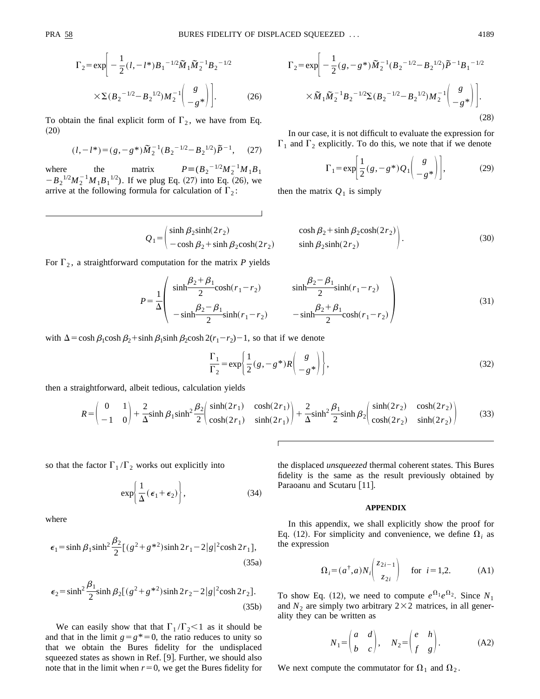$$
\Gamma_2 = \exp\left[-\frac{1}{2}(l, -l^*)B_1^{-1/2}\tilde{M}_1\tilde{M}_2^{-1}B_2^{-1/2}\right] \times \Sigma(B_2^{-1/2}-B_2^{-1/2})M_2^{-1}\left(\frac{g}{-g^*}\right)\bigg].
$$
 (26)

To obtain the final explicit form of  $\Gamma_2$ , we have from Eq.  $(20)$ 

$$
(l, -l^*) = (g, -g^*)\widetilde{M}_2^{-1}(B_2^{-1/2} - B_2^{-1/2})\widetilde{P}^{-1}, \quad (27)
$$

where the matrix  $P \equiv (B_2$  $1/2M_2^{-1}M_1B_1$  $-B_2^{-1/2}M_2^{-1}M_1B_1^{-1/2}$ . If we plug Eq. (27) into Eq. (26), we arrive at the following formula for calculation of  $\Gamma_2$ :

$$
\Gamma_2 = \exp\left[-\frac{1}{2}(g, -g^*)\tilde{M}_2^{-1}(B_2^{-1/2} - B_2^{-1/2})\tilde{P}^{-1}B_1^{-1/2}\right]
$$

$$
\times \tilde{M}_1 \tilde{M}_2^{-1}B_2^{-1/2}\Sigma(B_2^{-1/2} - B_2^{-1/2})M_2^{-1}\left(\frac{g}{-g^*}\right)\right].
$$
\n(28)

In our case, it is not difficult to evaluate the expression for  $\Gamma_1$  and  $\Gamma_2$  explicitly. To do this, we note that if we denote

$$
\Gamma_1 = \exp\biggl[\frac{1}{2}(g, -g^*)Q_1\biggl(\frac{g}{-g^*}\biggr)\biggr],\tag{29}
$$

then the matrix  $Q_1$  is simply

$$
Q_1 = \begin{pmatrix} \sinh \beta_2 \sinh(2r_2) & \cosh \beta_2 + \sinh \beta_2 \cosh(2r_2) \\ -\cosh \beta_2 + \sinh \beta_2 \cosh(2r_2) & \sinh \beta_2 \sinh(2r_2) \end{pmatrix}.
$$
 (30)

For  $\Gamma_2$ , a straightforward computation for the matrix *P* yields

$$
P = \frac{1}{\Delta} \begin{pmatrix} \sinh \frac{\beta_2 + \beta_1}{2} \cosh(r_1 - r_2) & \sinh \frac{\beta_2 - \beta_1}{2} \sinh(r_1 - r_2) \\ -\sinh \frac{\beta_2 - \beta_1}{2} \sinh(r_1 - r_2) & -\sinh \frac{\beta_2 + \beta_1}{2} \cosh(r_1 - r_2) \end{pmatrix}
$$
(31)

with  $\Delta = \cosh \beta_1 \cosh \beta_2 + \sinh \beta_1 \sinh \beta_2 \cosh 2(r_1 - r_2) - 1$ , so that if we denote

$$
\frac{\Gamma_1}{\Gamma_2} = \exp\left\{\frac{1}{2}(g, -g^*)R\left(\frac{g}{-g^*}\right)\right\},\tag{32}
$$

then a straightforward, albeit tedious, calculation yields

$$
R = \begin{pmatrix} 0 & 1 \\ -1 & 0 \end{pmatrix} + \frac{2}{\Delta} \sinh \beta_1 \sinh^2 \frac{\beta_2}{2} \begin{pmatrix} \sinh(2r_1) & \cosh(2r_1) \\ \cosh(2r_1) & \sinh(2r_1) \end{pmatrix} + \frac{2}{\Delta} \sinh^2 \frac{\beta_1}{2} \sinh \beta_2 \begin{pmatrix} \sinh(2r_2) & \cosh(2r_2) \\ \cosh(2r_2) & \sinh(2r_2) \end{pmatrix}
$$
(33)

so that the factor  $\Gamma_1/\Gamma_2$  works out explicitly into

$$
\exp\left\{\frac{1}{\Delta}(\epsilon_1 + \epsilon_2)\right\},\tag{34}
$$

where

$$
\epsilon_1 = \sinh \beta_1 \sinh^2 \frac{\beta_2}{2} [(g^2 + g^{*2}) \sinh 2r_1 - 2|g|^2 \cosh 2r_1],
$$
\n(35a)

$$
\epsilon_2 = \sinh^2 \frac{\beta_1}{2} \sinh \beta_2 [(g^2 + g^{*2}) \sinh 2r_2 - 2|g|^2 \cosh 2r_2].
$$
\n(35b)

We can easily show that that  $\Gamma_1/\Gamma_2 < 1$  as it should be and that in the limit  $g = g^* = 0$ , the ratio reduces to unity so that we obtain the Bures fidelity for the undisplaced squeezed states as shown in Ref. [9]. Further, we should also note that in the limit when  $r=0$ , we get the Bures fidelity for the displaced *unsqueezed* thermal coherent states. This Bures fidelity is the same as the result previously obtained by Paraoanu and Scutaru [11].

## **APPENDIX**

In this appendix, we shall explicitly show the proof for Eq. (12). For simplicity and convenience, we define  $\Omega_i$  as the expression

$$
\Omega_i = (a^{\dagger}, a) N_i \begin{pmatrix} z_{2i-1} \\ z_{2i} \end{pmatrix} \text{ for } i = 1, 2.
$$
 (A1)

To show Eq. (12), we need to compute  $e^{\Omega_1}e^{\Omega_2}$ . Since  $N_1$ and  $N_2$  are simply two arbitrary  $2 \times 2$  matrices, in all generality they can be written as

$$
N_1 = \begin{pmatrix} a & d \\ b & c \end{pmatrix}, \quad N_2 = \begin{pmatrix} e & h \\ f & g \end{pmatrix}.
$$
 (A2)

We next compute the commutator for  $\Omega_1$  and  $\Omega_2$ .